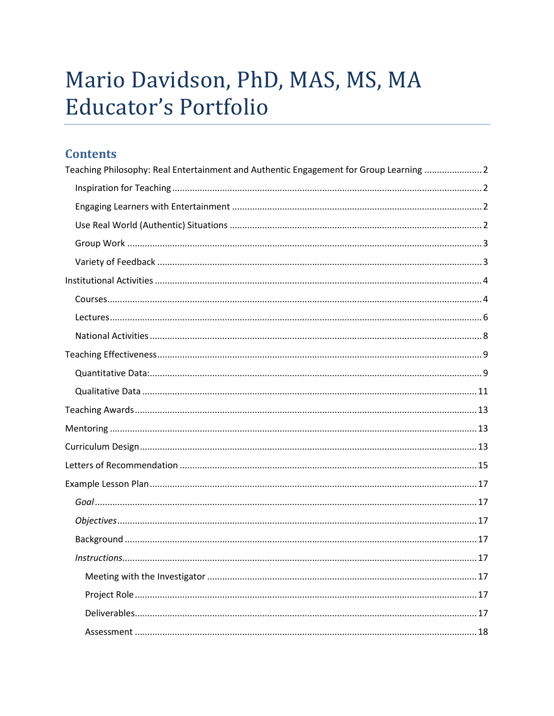# Mario Davidson, PhD, MAS, MS, MA Educator's Portfolio

# **Contents**

| Teaching Philosophy: Real Entertainment and Authentic Engagement for Group Learning  2 |
|----------------------------------------------------------------------------------------|
|                                                                                        |
|                                                                                        |
|                                                                                        |
|                                                                                        |
|                                                                                        |
|                                                                                        |
|                                                                                        |
|                                                                                        |
|                                                                                        |
|                                                                                        |
|                                                                                        |
|                                                                                        |
|                                                                                        |
|                                                                                        |
|                                                                                        |
|                                                                                        |
|                                                                                        |
|                                                                                        |
|                                                                                        |
|                                                                                        |
|                                                                                        |
|                                                                                        |
|                                                                                        |
|                                                                                        |
|                                                                                        |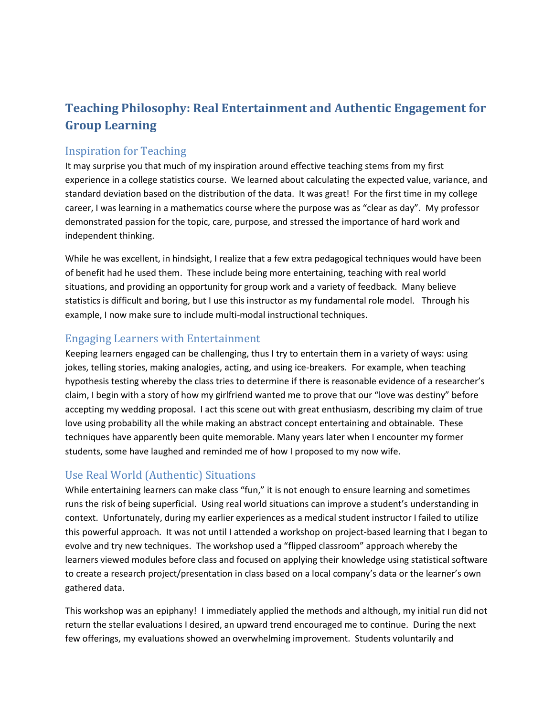# <span id="page-1-0"></span>**Teaching Philosophy: Real Entertainment and Authentic Engagement for Group Learning**

#### <span id="page-1-1"></span>Inspiration for Teaching

It may surprise you that much of my inspiration around effective teaching stems from my first experience in a college statistics course. We learned about calculating the expected value, variance, and standard deviation based on the distribution of the data. It was great! For the first time in my college career, I was learning in a mathematics course where the purpose was as "clear as day". My professor demonstrated passion for the topic, care, purpose, and stressed the importance of hard work and independent thinking.

While he was excellent, in hindsight, I realize that a few extra pedagogical techniques would have been of benefit had he used them. These include being more entertaining, teaching with real world situations, and providing an opportunity for group work and a variety of feedback. Many believe statistics is difficult and boring, but I use this instructor as my fundamental role model. Through his example, I now make sure to include multi-modal instructional techniques.

#### <span id="page-1-2"></span>Engaging Learners with Entertainment

Keeping learners engaged can be challenging, thus I try to entertain them in a variety of ways: using jokes, telling stories, making analogies, acting, and using ice-breakers. For example, when teaching hypothesis testing whereby the class tries to determine if there is reasonable evidence of a researcher's claim, I begin with a story of how my girlfriend wanted me to prove that our "love was destiny" before accepting my wedding proposal. I act this scene out with great enthusiasm, describing my claim of true love using probability all the while making an abstract concept entertaining and obtainable. These techniques have apparently been quite memorable. Many years later when I encounter my former students, some have laughed and reminded me of how I proposed to my now wife.

## <span id="page-1-3"></span>Use Real World (Authentic) Situations

While entertaining learners can make class "fun," it is not enough to ensure learning and sometimes runs the risk of being superficial. Using real world situations can improve a student's understanding in context. Unfortunately, during my earlier experiences as a medical student instructor I failed to utilize this powerful approach. It was not until I attended a workshop on project-based learning that I began to evolve and try new techniques. The workshop used a "flipped classroom" approach whereby the learners viewed modules before class and focused on applying their knowledge using statistical software to create a research project/presentation in class based on a local company's data or the learner's own gathered data.

This workshop was an epiphany! I immediately applied the methods and although, my initial run did not return the stellar evaluations I desired, an upward trend encouraged me to continue. During the next few offerings, my evaluations showed an overwhelming improvement. Students voluntarily and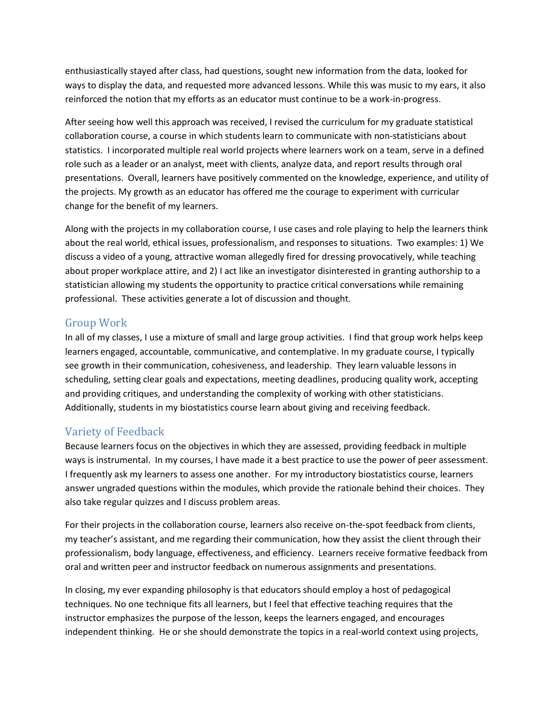enthusiastically stayed after class, had questions, sought new information from the data, looked for ways to display the data, and requested more advanced lessons. While this was music to my ears, it also reinforced the notion that my efforts as an educator must continue to be a work-in-progress.

After seeing how well this approach was received, I revised the curriculum for my graduate statistical collaboration course, a course in which students learn to communicate with non-statisticians about statistics. I incorporated multiple real world projects where learners work on a team, serve in a defined role such as a leader or an analyst, meet with clients, analyze data, and report results through oral presentations. Overall, learners have positively commented on the knowledge, experience, and utility of the projects. My growth as an educator has offered me the courage to experiment with curricular change for the benefit of my learners.

Along with the projects in my collaboration course, I use cases and role playing to help the learners think about the real world, ethical issues, professionalism, and responses to situations. Two examples: 1) We discuss a video of a young, attractive woman allegedly fired for dressing provocatively, while teaching about proper workplace attire, and 2) I act like an investigator disinterested in granting authorship to a statistician allowing my students the opportunity to practice critical conversations while remaining professional. These activities generate a lot of discussion and thought.

## <span id="page-2-0"></span>Group Work

In all of my classes, I use a mixture of small and large group activities. I find that group work helps keep learners engaged, accountable, communicative, and contemplative. In my graduate course, I typically see growth in their communication, cohesiveness, and leadership. They learn valuable lessons in scheduling, setting clear goals and expectations, meeting deadlines, producing quality work, accepting and providing critiques, and understanding the complexity of working with other statisticians. Additionally, students in my biostatistics course learn about giving and receiving feedback.

## <span id="page-2-1"></span>Variety of Feedback

Because learners focus on the objectives in which they are assessed, providing feedback in multiple ways is instrumental. In my courses, I have made it a best practice to use the power of peer assessment. I frequently ask my learners to assess one another. For my introductory biostatistics course, learners answer ungraded questions within the modules, which provide the rationale behind their choices. They also take regular quizzes and I discuss problem areas.

For their projects in the collaboration course, learners also receive on-the-spot feedback from clients, my teacher's assistant, and me regarding their communication, how they assist the client through their professionalism, body language, effectiveness, and efficiency. Learners receive formative feedback from oral and written peer and instructor feedback on numerous assignments and presentations.

In closing, my ever expanding philosophy is that educators should employ a host of pedagogical techniques. No one technique fits all learners, but I feel that effective teaching requires that the instructor emphasizes the purpose of the lesson, keeps the learners engaged, and encourages independent thinking. He or she should demonstrate the topics in a real-world context using projects,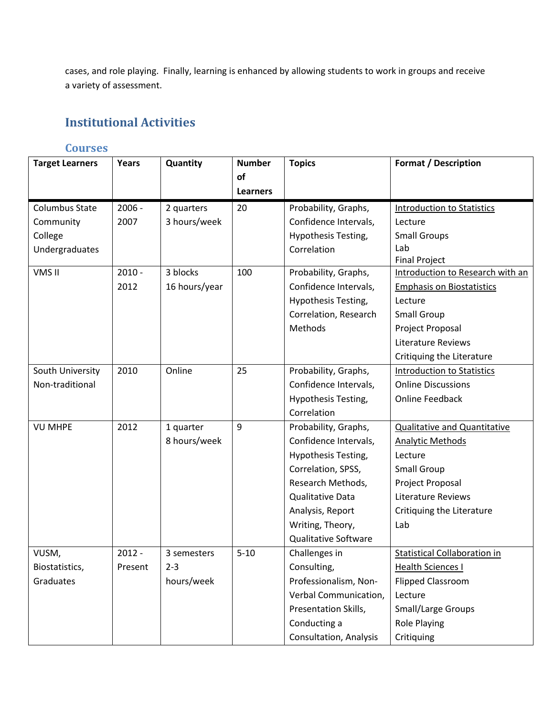cases, and role playing. Finally, learning is enhanced by allowing students to work in groups and receive a variety of assessment.

# <span id="page-3-0"></span>**Institutional Activities**

## <span id="page-3-1"></span>**Courses**

| <b>Target Learners</b> | Years    | Quantity      | <b>Number</b>   | <b>Topics</b>               | <b>Format / Description</b>         |
|------------------------|----------|---------------|-----------------|-----------------------------|-------------------------------------|
|                        |          |               | of              |                             |                                     |
|                        |          |               | <b>Learners</b> |                             |                                     |
| Columbus State         | $2006 -$ | 2 quarters    | 20              | Probability, Graphs,        | <b>Introduction to Statistics</b>   |
| Community              | 2007     | 3 hours/week  |                 | Confidence Intervals,       | Lecture                             |
| College                |          |               |                 | Hypothesis Testing,         | <b>Small Groups</b>                 |
| Undergraduates         |          |               |                 | Correlation                 | Lab                                 |
|                        |          |               |                 |                             | <b>Final Project</b>                |
| VMS II                 | $2010 -$ | 3 blocks      | 100             | Probability, Graphs,        | Introduction to Research with an    |
|                        | 2012     | 16 hours/year |                 | Confidence Intervals,       | <b>Emphasis on Biostatistics</b>    |
|                        |          |               |                 | Hypothesis Testing,         | Lecture                             |
|                        |          |               |                 | Correlation, Research       | <b>Small Group</b>                  |
|                        |          |               |                 | Methods                     | Project Proposal                    |
|                        |          |               |                 |                             | Literature Reviews                  |
|                        |          |               |                 |                             | Critiquing the Literature           |
| South University       | 2010     | Online        | 25              | Probability, Graphs,        | <b>Introduction to Statistics</b>   |
| Non-traditional        |          |               |                 | Confidence Intervals,       | <b>Online Discussions</b>           |
|                        |          |               |                 | Hypothesis Testing,         | <b>Online Feedback</b>              |
|                        |          |               |                 | Correlation                 |                                     |
| <b>VU MHPE</b>         | 2012     | 1 quarter     | 9               | Probability, Graphs,        | <b>Qualitative and Quantitative</b> |
|                        |          | 8 hours/week  |                 | Confidence Intervals,       | <b>Analytic Methods</b>             |
|                        |          |               |                 | Hypothesis Testing,         | Lecture                             |
|                        |          |               |                 | Correlation, SPSS,          | Small Group                         |
|                        |          |               |                 | Research Methods,           | Project Proposal                    |
|                        |          |               |                 | Qualitative Data            | <b>Literature Reviews</b>           |
|                        |          |               |                 | Analysis, Report            | Critiquing the Literature           |
|                        |          |               |                 | Writing, Theory,            | Lab                                 |
|                        |          |               |                 | <b>Qualitative Software</b> |                                     |
| VUSM,                  | $2012 -$ | 3 semesters   | $5 - 10$        | Challenges in               | <b>Statistical Collaboration in</b> |
| Biostatistics,         | Present  | $2 - 3$       |                 | Consulting,                 | <b>Health Sciences I</b>            |
| Graduates              |          | hours/week    |                 | Professionalism, Non-       | <b>Flipped Classroom</b>            |
|                        |          |               |                 | Verbal Communication,       | Lecture                             |
|                        |          |               |                 | Presentation Skills,        | Small/Large Groups                  |
|                        |          |               |                 | Conducting a                | <b>Role Playing</b>                 |
|                        |          |               |                 | Consultation, Analysis      | Critiquing                          |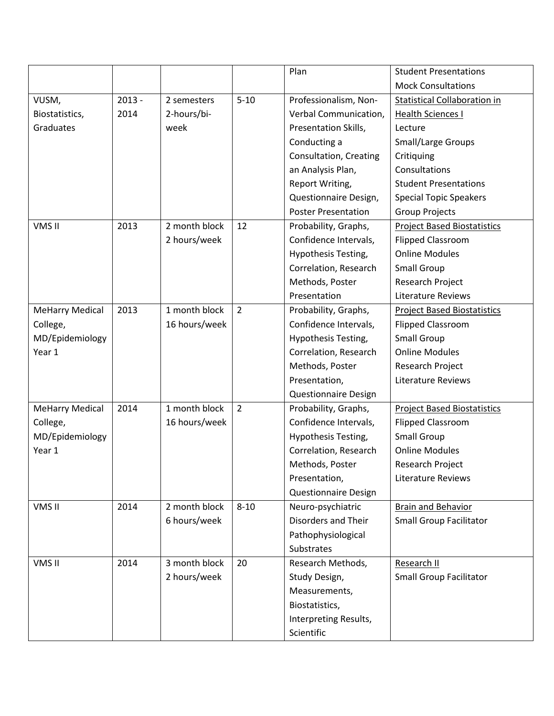|                        |          |               |                | Plan                        | <b>Student Presentations</b>        |
|------------------------|----------|---------------|----------------|-----------------------------|-------------------------------------|
|                        |          |               |                |                             | <b>Mock Consultations</b>           |
| VUSM,                  | $2013 -$ | 2 semesters   | $5 - 10$       | Professionalism, Non-       | <b>Statistical Collaboration in</b> |
| Biostatistics,         | 2014     | 2-hours/bi-   |                | Verbal Communication,       | <b>Health Sciences I</b>            |
| Graduates              |          | week          |                | Presentation Skills,        | Lecture                             |
|                        |          |               |                | Conducting a                | <b>Small/Large Groups</b>           |
|                        |          |               |                | Consultation, Creating      | Critiquing                          |
|                        |          |               |                | an Analysis Plan,           | Consultations                       |
|                        |          |               |                | Report Writing,             | <b>Student Presentations</b>        |
|                        |          |               |                | Questionnaire Design,       | <b>Special Topic Speakers</b>       |
|                        |          |               |                | <b>Poster Presentation</b>  | <b>Group Projects</b>               |
| VMS II                 | 2013     | 2 month block | 12             | Probability, Graphs,        | <b>Project Based Biostatistics</b>  |
|                        |          | 2 hours/week  |                | Confidence Intervals,       | <b>Flipped Classroom</b>            |
|                        |          |               |                | Hypothesis Testing,         | <b>Online Modules</b>               |
|                        |          |               |                | Correlation, Research       | <b>Small Group</b>                  |
|                        |          |               |                | Methods, Poster             | <b>Research Project</b>             |
|                        |          |               |                | Presentation                | Literature Reviews                  |
| <b>MeHarry Medical</b> | 2013     | 1 month block | $\overline{2}$ | Probability, Graphs,        | <b>Project Based Biostatistics</b>  |
| College,               |          | 16 hours/week |                | Confidence Intervals,       | <b>Flipped Classroom</b>            |
| MD/Epidemiology        |          |               |                | Hypothesis Testing,         | <b>Small Group</b>                  |
| Year 1                 |          |               |                | Correlation, Research       | <b>Online Modules</b>               |
|                        |          |               |                | Methods, Poster             | Research Project                    |
|                        |          |               |                | Presentation,               | Literature Reviews                  |
|                        |          |               |                | <b>Questionnaire Design</b> |                                     |
| <b>MeHarry Medical</b> | 2014     | 1 month block | $\overline{2}$ | Probability, Graphs,        | <b>Project Based Biostatistics</b>  |
| College,               |          | 16 hours/week |                | Confidence Intervals,       | <b>Flipped Classroom</b>            |
| MD/Epidemiology        |          |               |                | Hypothesis Testing,         | <b>Small Group</b>                  |
| Year 1                 |          |               |                | Correlation, Research       | <b>Online Modules</b>               |
|                        |          |               |                | Methods, Poster             | Research Project                    |
|                        |          |               |                | Presentation,               | Literature Reviews                  |
|                        |          |               |                | <b>Questionnaire Design</b> |                                     |
| VMS II                 | 2014     | 2 month block | $8 - 10$       | Neuro-psychiatric           | <b>Brain and Behavior</b>           |
|                        |          | 6 hours/week  |                | Disorders and Their         | <b>Small Group Facilitator</b>      |
|                        |          |               |                | Pathophysiological          |                                     |
|                        |          |               |                | Substrates                  |                                     |
| VMS II                 | 2014     | 3 month block | 20             | Research Methods,           | Research II                         |
|                        |          | 2 hours/week  |                | Study Design,               | <b>Small Group Facilitator</b>      |
|                        |          |               |                | Measurements,               |                                     |
|                        |          |               |                | Biostatistics,              |                                     |
|                        |          |               |                | Interpreting Results,       |                                     |
|                        |          |               |                | Scientific                  |                                     |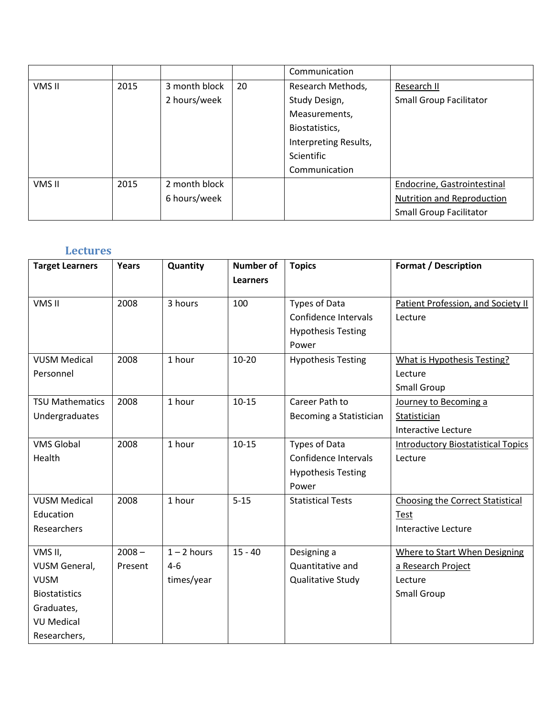|        |      |               |    | Communication         |                                   |
|--------|------|---------------|----|-----------------------|-----------------------------------|
| VMS II | 2015 | 3 month block | 20 | Research Methods,     | Research II                       |
|        |      | 2 hours/week  |    | Study Design,         | <b>Small Group Facilitator</b>    |
|        |      |               |    | Measurements,         |                                   |
|        |      |               |    | Biostatistics,        |                                   |
|        |      |               |    | Interpreting Results, |                                   |
|        |      |               |    | <b>Scientific</b>     |                                   |
|        |      |               |    | Communication         |                                   |
| VMS II | 2015 | 2 month block |    |                       | Endocrine, Gastrointestinal       |
|        |      | 6 hours/week  |    |                       | <b>Nutrition and Reproduction</b> |
|        |      |               |    |                       | <b>Small Group Facilitator</b>    |

## <span id="page-5-0"></span>**Lectures**

| <b>Target Learners</b> | Years    | Quantity      | <b>Number of</b><br><b>Learners</b> | <b>Topics</b>             | <b>Format / Description</b>               |
|------------------------|----------|---------------|-------------------------------------|---------------------------|-------------------------------------------|
| VMS II                 | 2008     | 3 hours       | 100                                 | Types of Data             | Patient Profession, and Society II        |
|                        |          |               |                                     | Confidence Intervals      | Lecture                                   |
|                        |          |               |                                     | <b>Hypothesis Testing</b> |                                           |
|                        |          |               |                                     | Power                     |                                           |
| <b>VUSM Medical</b>    | 2008     | 1 hour        | $10 - 20$                           | <b>Hypothesis Testing</b> | <b>What is Hypothesis Testing?</b>        |
| Personnel              |          |               |                                     |                           | Lecture                                   |
|                        |          |               |                                     |                           | <b>Small Group</b>                        |
| <b>TSU Mathematics</b> | 2008     | 1 hour        | $10 - 15$                           | Career Path to            | Journey to Becoming a                     |
| Undergraduates         |          |               |                                     | Becoming a Statistician   | Statistician                              |
|                        |          |               |                                     |                           | <b>Interactive Lecture</b>                |
| <b>VMS Global</b>      | 2008     | 1 hour        | $10 - 15$                           | Types of Data             | <b>Introductory Biostatistical Topics</b> |
| Health                 |          |               |                                     | Confidence Intervals      | Lecture                                   |
|                        |          |               |                                     | <b>Hypothesis Testing</b> |                                           |
|                        |          |               |                                     | Power                     |                                           |
| <b>VUSM Medical</b>    | 2008     | 1 hour        | $5 - 15$                            | <b>Statistical Tests</b>  | <b>Choosing the Correct Statistical</b>   |
| Education              |          |               |                                     |                           | Test                                      |
| Researchers            |          |               |                                     |                           | <b>Interactive Lecture</b>                |
| VMS II,                | $2008 -$ | $1 - 2$ hours | $15 - 40$                           | Designing a               | <b>Where to Start When Designing</b>      |
| <b>VUSM General,</b>   | Present  | $4 - 6$       |                                     | Quantitative and          | a Research Project                        |
| <b>VUSM</b>            |          | times/year    |                                     | <b>Qualitative Study</b>  | Lecture                                   |
| <b>Biostatistics</b>   |          |               |                                     |                           | <b>Small Group</b>                        |
| Graduates,             |          |               |                                     |                           |                                           |
| <b>VU Medical</b>      |          |               |                                     |                           |                                           |
| Researchers,           |          |               |                                     |                           |                                           |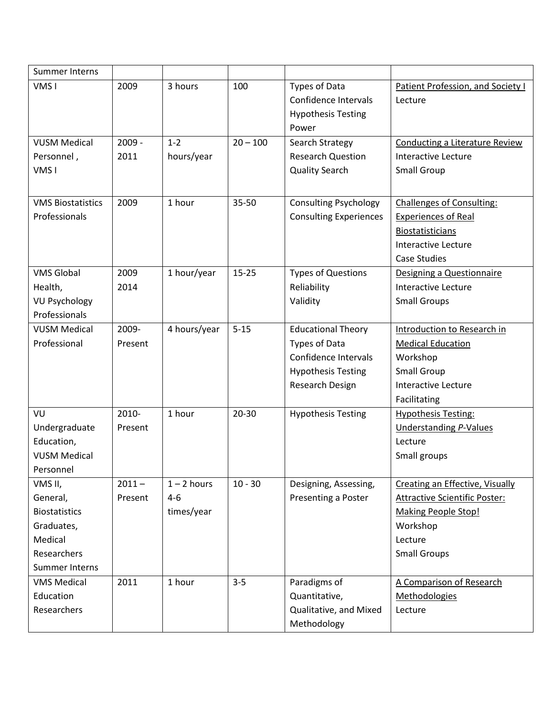| <b>Summer Interns</b>    |          |               |            |                               |                                        |
|--------------------------|----------|---------------|------------|-------------------------------|----------------------------------------|
| VMS <sub>I</sub>         | 2009     | 3 hours       | 100        | Types of Data                 | Patient Profession, and Society I      |
|                          |          |               |            | Confidence Intervals          | Lecture                                |
|                          |          |               |            | <b>Hypothesis Testing</b>     |                                        |
|                          |          |               |            | Power                         |                                        |
| <b>VUSM Medical</b>      | $2009 -$ | $1 - 2$       | $20 - 100$ | Search Strategy               | <b>Conducting a Literature Review</b>  |
| Personnel,               | 2011     | hours/year    |            | <b>Research Question</b>      | <b>Interactive Lecture</b>             |
| VMS <sub>I</sub>         |          |               |            | <b>Quality Search</b>         | <b>Small Group</b>                     |
|                          |          |               |            |                               |                                        |
| <b>VMS Biostatistics</b> | 2009     | 1 hour        | 35-50      | <b>Consulting Psychology</b>  | <b>Challenges of Consulting:</b>       |
| Professionals            |          |               |            | <b>Consulting Experiences</b> | <b>Experiences of Real</b>             |
|                          |          |               |            |                               | <b>Biostatisticians</b>                |
|                          |          |               |            |                               | <b>Interactive Lecture</b>             |
|                          |          |               |            |                               | <b>Case Studies</b>                    |
| <b>VMS Global</b>        | 2009     | 1 hour/year   | $15 - 25$  | <b>Types of Questions</b>     | Designing a Questionnaire              |
| Health,                  | 2014     |               |            | Reliability                   | <b>Interactive Lecture</b>             |
| <b>VU Psychology</b>     |          |               |            | Validity                      | <b>Small Groups</b>                    |
| Professionals            |          |               |            |                               |                                        |
| <b>VUSM Medical</b>      | 2009-    | 4 hours/year  | $5 - 15$   | <b>Educational Theory</b>     | Introduction to Research in            |
| Professional             | Present  |               |            | Types of Data                 | <b>Medical Education</b>               |
|                          |          |               |            | Confidence Intervals          | Workshop                               |
|                          |          |               |            | <b>Hypothesis Testing</b>     | <b>Small Group</b>                     |
|                          |          |               |            | Research Design               | <b>Interactive Lecture</b>             |
|                          |          |               |            |                               | Facilitating                           |
| VU                       | 2010-    | 1 hour        | 20-30      | <b>Hypothesis Testing</b>     | <b>Hypothesis Testing:</b>             |
| Undergraduate            | Present  |               |            |                               | <b>Understanding P-Values</b>          |
| Education,               |          |               |            |                               | Lecture                                |
| <b>VUSM Medical</b>      |          |               |            |                               | Small groups                           |
| Personnel                |          |               |            |                               |                                        |
| VMS II,                  | $2011 -$ | $1 - 2$ hours | $10 - 30$  | Designing, Assessing,         | <b>Creating an Effective, Visually</b> |
| General,                 | Present  | $4 - 6$       |            | Presenting a Poster           | <b>Attractive Scientific Poster:</b>   |
| <b>Biostatistics</b>     |          | times/year    |            |                               | <b>Making People Stop!</b>             |
| Graduates,               |          |               |            |                               | Workshop                               |
| Medical                  |          |               |            |                               | Lecture                                |
| Researchers              |          |               |            |                               | <b>Small Groups</b>                    |
| Summer Interns           |          |               |            |                               |                                        |
| <b>VMS Medical</b>       | 2011     | 1 hour        | $3 - 5$    | Paradigms of                  | A Comparison of Research               |
| Education                |          |               |            | Quantitative,                 | Methodologies                          |
| Researchers              |          |               |            | Qualitative, and Mixed        | Lecture                                |
|                          |          |               |            | Methodology                   |                                        |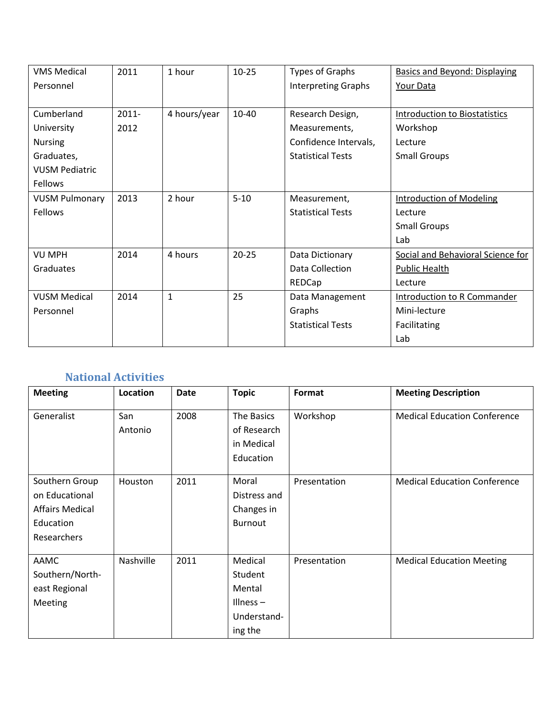| <b>VMS Medical</b>    | 2011     | 1 hour       | $10 - 25$ | <b>Types of Graphs</b>     | <b>Basics and Beyond: Displaying</b> |
|-----------------------|----------|--------------|-----------|----------------------------|--------------------------------------|
| Personnel             |          |              |           | <b>Interpreting Graphs</b> | <b>Your Data</b>                     |
|                       |          |              |           |                            |                                      |
| Cumberland            | $2011 -$ | 4 hours/year | $10 - 40$ | Research Design,           | <b>Introduction to Biostatistics</b> |
| University            | 2012     |              |           | Measurements,              | Workshop                             |
| <b>Nursing</b>        |          |              |           | Confidence Intervals,      | Lecture                              |
| Graduates,            |          |              |           | <b>Statistical Tests</b>   | <b>Small Groups</b>                  |
| <b>VUSM Pediatric</b> |          |              |           |                            |                                      |
| Fellows               |          |              |           |                            |                                      |
| <b>VUSM Pulmonary</b> | 2013     | 2 hour       | $5 - 10$  | Measurement,               | <b>Introduction of Modeling</b>      |
| Fellows               |          |              |           | <b>Statistical Tests</b>   | Lecture                              |
|                       |          |              |           |                            | <b>Small Groups</b>                  |
|                       |          |              |           |                            | Lab                                  |
| <b>VU MPH</b>         | 2014     | 4 hours      | $20 - 25$ | Data Dictionary            | Social and Behavioral Science for    |
| Graduates             |          |              |           | Data Collection            | <b>Public Health</b>                 |
|                       |          |              |           | REDCap                     | Lecture                              |
| <b>VUSM Medical</b>   | 2014     | 1            | 25        | Data Management            | Introduction to R Commander          |
| Personnel             |          |              |           | Graphs                     | Mini-lecture                         |
|                       |          |              |           | <b>Statistical Tests</b>   | Facilitating                         |
|                       |          |              |           |                            | Lab                                  |

# <span id="page-7-0"></span>**National Activities**

| <b>Meeting</b>         | Location  | <b>Date</b> | <b>Topic</b>   | Format       | <b>Meeting Description</b>          |
|------------------------|-----------|-------------|----------------|--------------|-------------------------------------|
| Generalist             | San       | 2008        | The Basics     | Workshop     | <b>Medical Education Conference</b> |
|                        | Antonio   |             | of Research    |              |                                     |
|                        |           |             | in Medical     |              |                                     |
|                        |           |             | Education      |              |                                     |
|                        |           |             |                |              |                                     |
| Southern Group         | Houston   | 2011        | Moral          | Presentation | <b>Medical Education Conference</b> |
| on Educational         |           |             | Distress and   |              |                                     |
| <b>Affairs Medical</b> |           |             | Changes in     |              |                                     |
| Education              |           |             | <b>Burnout</b> |              |                                     |
| Researchers            |           |             |                |              |                                     |
|                        |           |             |                |              |                                     |
| AAMC                   | Nashville | 2011        | Medical        | Presentation | <b>Medical Education Meeting</b>    |
| Southern/North-        |           |             | Student        |              |                                     |
| east Regional          |           |             | Mental         |              |                                     |
| Meeting                |           |             | Illness $-$    |              |                                     |
|                        |           |             | Understand-    |              |                                     |
|                        |           |             | ing the        |              |                                     |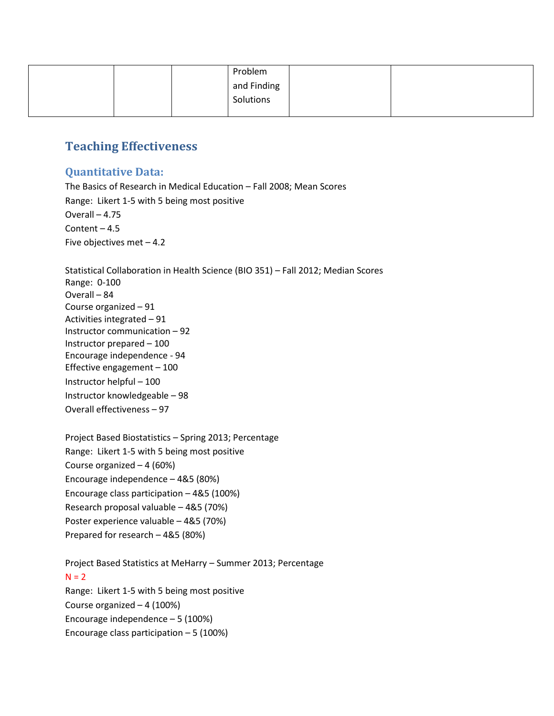|  |  | Problem     |  |  |
|--|--|-------------|--|--|
|  |  | and Finding |  |  |
|  |  | Solutions   |  |  |
|  |  |             |  |  |

## <span id="page-8-0"></span>**Teaching Effectiveness**

#### <span id="page-8-1"></span>**Quantitative Data:**

The Basics of Research in Medical Education – Fall 2008; Mean Scores Range: Likert 1-5 with 5 being most positive Overall – 4.75 Content  $-4.5$ Five objectives met – 4.2

Statistical Collaboration in Health Science (BIO 351) – Fall 2012; Median Scores Range: 0-100 Overall – 84 Course organized – 91 Activities integrated – 91 Instructor communication – 92 Instructor prepared – 100 Encourage independence - 94 Effective engagement – 100 Instructor helpful – 100 Instructor knowledgeable – 98 Overall effectiveness – 97

| Project Based Biostatistics - Spring 2013; Percentage |
|-------------------------------------------------------|
| Range: Likert 1-5 with 5 being most positive          |
| Course organized $-4(60%)$                            |
| Encourage independence - 4&5 (80%)                    |
| Encourage class participation - 4&5 (100%)            |
| Research proposal valuable - 4&5 (70%)                |
| Poster experience valuable - 4&5 (70%)                |
| Prepared for research - 4&5 (80%)                     |

Project Based Statistics at MeHarry – Summer 2013; Percentage  $N = 2$ Range: Likert 1-5 with 5 being most positive Course organized – 4 (100%) Encourage independence – 5 (100%) Encourage class participation  $-5$  (100%)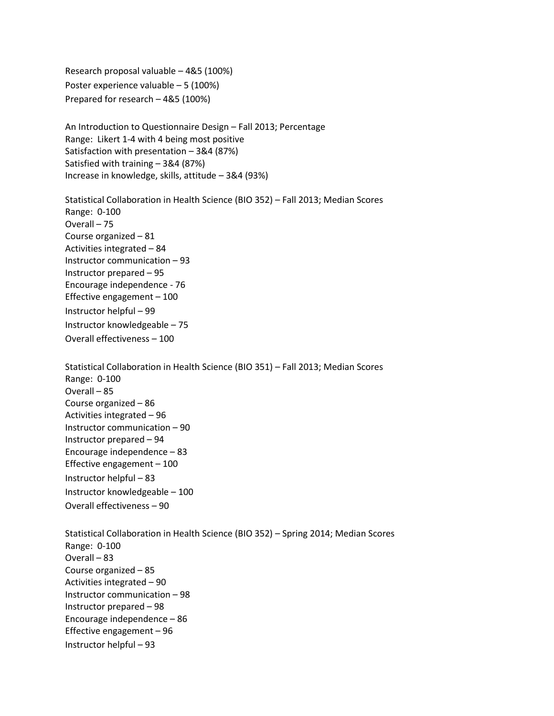Research proposal valuable – 4&5 (100%) Poster experience valuable – 5 (100%) Prepared for research – 4&5 (100%)

An Introduction to Questionnaire Design – Fall 2013; Percentage Range: Likert 1-4 with 4 being most positive Satisfaction with presentation – 3&4 (87%) Satisfied with training – 3&4 (87%) Increase in knowledge, skills, attitude – 3&4 (93%)

Statistical Collaboration in Health Science (BIO 352) – Fall 2013; Median Scores Range: 0-100 Overall – 75 Course organized – 81 Activities integrated – 84 Instructor communication – 93 Instructor prepared – 95 Encourage independence - 76 Effective engagement – 100 Instructor helpful – 99 Instructor knowledgeable – 75 Overall effectiveness – 100

Statistical Collaboration in Health Science (BIO 351) – Fall 2013; Median Scores Range: 0-100 Overall – 85 Course organized – 86 Activities integrated – 96 Instructor communication – 90 Instructor prepared – 94 Encourage independence – 83 Effective engagement – 100 Instructor helpful – 83 Instructor knowledgeable – 100 Overall effectiveness – 90

Statistical Collaboration in Health Science (BIO 352) – Spring 2014; Median Scores Range: 0-100 Overall – 83 Course organized – 85 Activities integrated – 90 Instructor communication – 98 Instructor prepared – 98 Encourage independence – 86 Effective engagement – 96 Instructor helpful – 93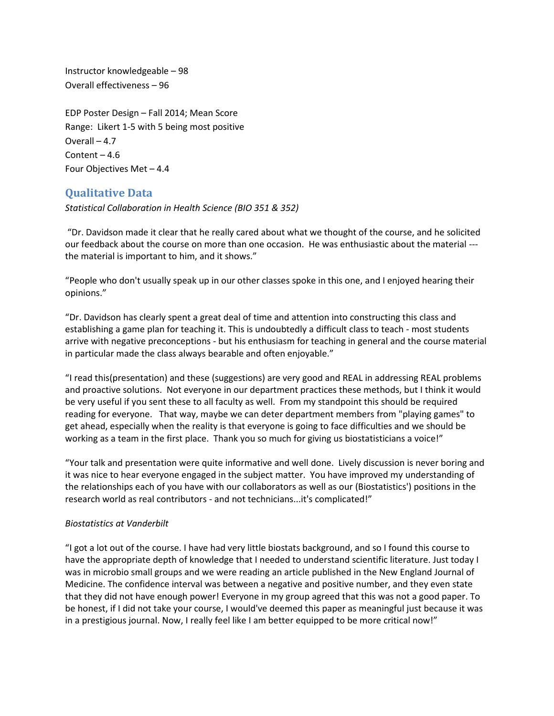Instructor knowledgeable – 98 Overall effectiveness – 96

EDP Poster Design – Fall 2014; Mean Score Range: Likert 1-5 with 5 being most positive Overall – 4.7 Content – 4.6 Four Objectives Met – 4.4

#### <span id="page-10-0"></span>**Qualitative Data**

*Statistical Collaboration in Health Science (BIO 351 & 352)*

"Dr. Davidson made it clear that he really cared about what we thought of the course, and he solicited our feedback about the course on more than one occasion. He was enthusiastic about the material -- the material is important to him, and it shows."

"People who don't usually speak up in our other classes spoke in this one, and I enjoyed hearing their opinions."

"Dr. Davidson has clearly spent a great deal of time and attention into constructing this class and establishing a game plan for teaching it. This is undoubtedly a difficult class to teach - most students arrive with negative preconceptions - but his enthusiasm for teaching in general and the course material in particular made the class always bearable and often enjoyable."

"I read this(presentation) and these (suggestions) are very good and REAL in addressing REAL problems and proactive solutions. Not everyone in our department practices these methods, but I think it would be very useful if you sent these to all faculty as well. From my standpoint this should be required reading for everyone. That way, maybe we can deter department members from "playing games" to get ahead, especially when the reality is that everyone is going to face difficulties and we should be working as a team in the first place. Thank you so much for giving us biostatisticians a voice!"

"Your talk and presentation were quite informative and well done. Lively discussion is never boring and it was nice to hear everyone engaged in the subject matter. You have improved my understanding of the relationships each of you have with our collaborators as well as our (Biostatistics') positions in the research world as real contributors - and not technicians...it's complicated!"

#### *Biostatistics at Vanderbilt*

"I got a lot out of the course. I have had very little biostats background, and so I found this course to have the appropriate depth of knowledge that I needed to understand scientific literature. Just today I was in microbio small groups and we were reading an article published in the New England Journal of Medicine. The confidence interval was between a negative and positive number, and they even state that they did not have enough power! Everyone in my group agreed that this was not a good paper. To be honest, if I did not take your course, I would've deemed this paper as meaningful just because it was in a prestigious journal. Now, I really feel like I am better equipped to be more critical now!"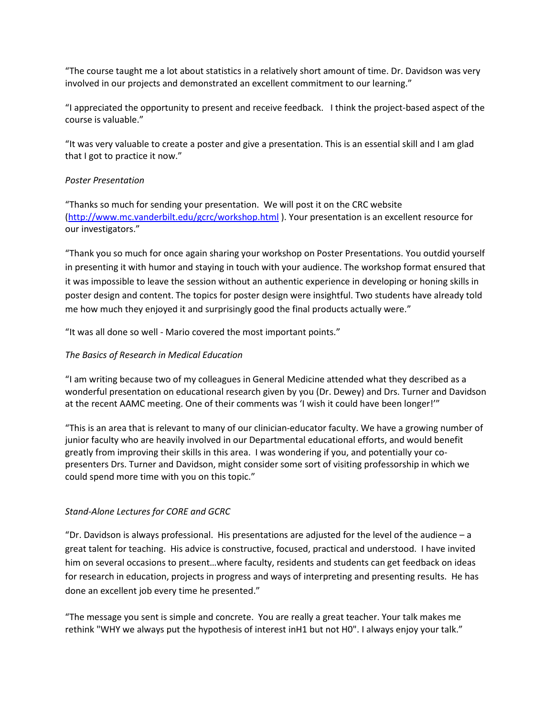"The course taught me a lot about statistics in a relatively short amount of time. Dr. Davidson was very involved in our projects and demonstrated an excellent commitment to our learning."

"I appreciated the opportunity to present and receive feedback. I think the project-based aspect of the course is valuable."

"It was very valuable to create a poster and give a presentation. This is an essential skill and I am glad that I got to practice it now."

#### *Poster Presentation*

"Thanks so much for sending your presentation. We will post it on the CRC website [\(http://www.mc.vanderbilt.edu/gcrc/workshop.html](http://www.mc.vanderbilt.edu/gcrc/workshop.html) ). Your presentation is an excellent resource for our investigators."

"Thank you so much for once again sharing your workshop on Poster Presentations. You outdid yourself in presenting it with humor and staying in touch with your audience. The workshop format ensured that it was impossible to leave the session without an authentic experience in developing or honing skills in poster design and content. The topics for poster design were insightful. Two students have already told me how much they enjoyed it and surprisingly good the final products actually were."

"It was all done so well - Mario covered the most important points."

#### *The Basics of Research in Medical Education*

"I am writing because two of my colleagues in General Medicine attended what they described as a wonderful presentation on educational research given by you (Dr. Dewey) and Drs. Turner and Davidson at the recent AAMC meeting. One of their comments was 'I wish it could have been longer!'"

"This is an area that is relevant to many of our clinician-educator faculty. We have a growing number of junior faculty who are heavily involved in our Departmental educational efforts, and would benefit greatly from improving their skills in this area. I was wondering if you, and potentially your copresenters Drs. Turner and Davidson, might consider some sort of visiting professorship in which we could spend more time with you on this topic."

#### *Stand-Alone Lectures for CORE and GCRC*

"Dr. Davidson is always professional. His presentations are adjusted for the level of the audience  $-a$ great talent for teaching. His advice is constructive, focused, practical and understood. I have invited him on several occasions to present…where faculty, residents and students can get feedback on ideas for research in education, projects in progress and ways of interpreting and presenting results. He has done an excellent job every time he presented."

"The message you sent is simple and concrete. You are really a great teacher. Your talk makes me rethink "WHY we always put the hypothesis of interest inH1 but not H0". I always enjoy your talk."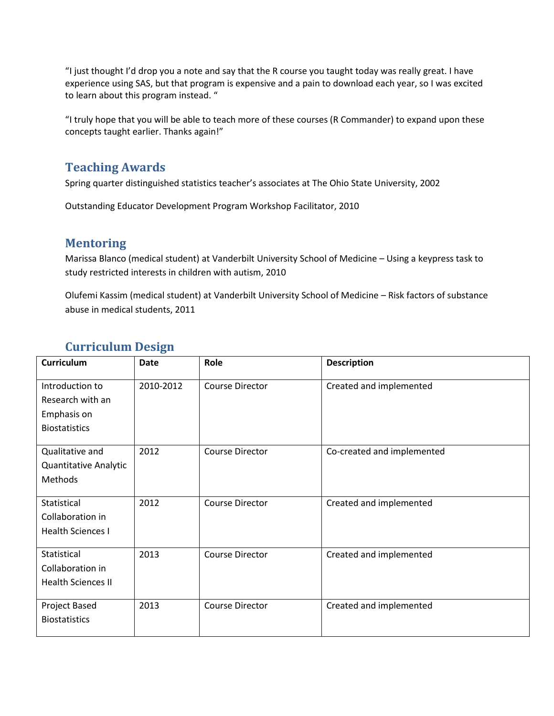"I just thought I'd drop you a note and say that the R course you taught today was really great. I have experience using SAS, but that program is expensive and a pain to download each year, so I was excited to learn about this program instead. "

"I truly hope that you will be able to teach more of these courses (R Commander) to expand upon these concepts taught earlier. Thanks again!"

## <span id="page-12-0"></span>**Teaching Awards**

Spring quarter distinguished statistics teacher's associates at The Ohio State University, 2002

Outstanding Educator Development Program Workshop Facilitator, 2010

## <span id="page-12-1"></span>**Mentoring**

Marissa Blanco (medical student) at Vanderbilt University School of Medicine – Using a keypress task to study restricted interests in children with autism, 2010

Olufemi Kassim (medical student) at Vanderbilt University School of Medicine – Risk factors of substance abuse in medical students, 2011

| <b>Date</b> | Role                   | <b>Description</b>                               |
|-------------|------------------------|--------------------------------------------------|
| 2010-2012   | <b>Course Director</b> | Created and implemented                          |
|             |                        |                                                  |
|             |                        |                                                  |
|             |                        |                                                  |
| 2012        | <b>Course Director</b> | Co-created and implemented                       |
|             |                        |                                                  |
|             |                        |                                                  |
|             |                        |                                                  |
|             |                        | Created and implemented                          |
|             |                        |                                                  |
|             |                        |                                                  |
| 2013        | <b>Course Director</b> | Created and implemented                          |
|             |                        |                                                  |
|             |                        |                                                  |
|             |                        |                                                  |
|             |                        | Created and implemented                          |
|             |                        |                                                  |
|             | 2012<br>2013           | <b>Course Director</b><br><b>Course Director</b> |

## <span id="page-12-2"></span>**Curriculum Design**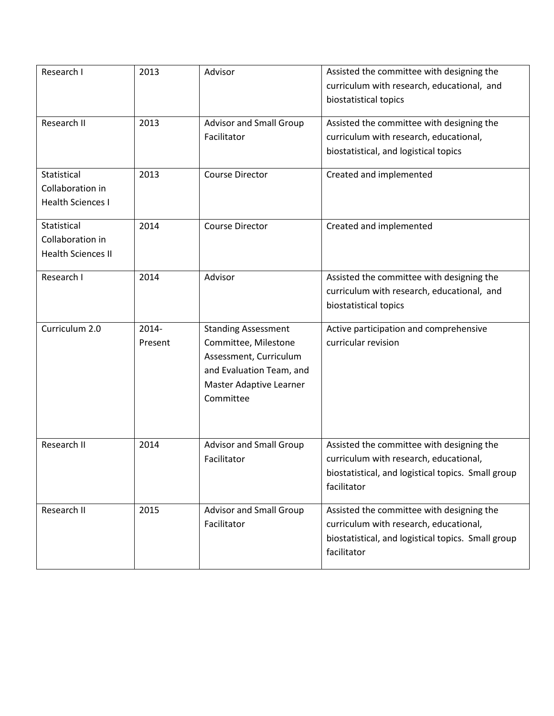| Research I                                                   | 2013                | Advisor                                                                                                                                          | Assisted the committee with designing the<br>curriculum with research, educational, and<br>biostatistical topics                                         |
|--------------------------------------------------------------|---------------------|--------------------------------------------------------------------------------------------------------------------------------------------------|----------------------------------------------------------------------------------------------------------------------------------------------------------|
| Research II                                                  | 2013                | <b>Advisor and Small Group</b><br>Facilitator                                                                                                    | Assisted the committee with designing the<br>curriculum with research, educational,<br>biostatistical, and logistical topics                             |
| Statistical<br>Collaboration in<br><b>Health Sciences I</b>  | 2013                | <b>Course Director</b>                                                                                                                           | Created and implemented                                                                                                                                  |
| Statistical<br>Collaboration in<br><b>Health Sciences II</b> | 2014                | <b>Course Director</b>                                                                                                                           | Created and implemented                                                                                                                                  |
| Research I                                                   | 2014                | Advisor                                                                                                                                          | Assisted the committee with designing the<br>curriculum with research, educational, and<br>biostatistical topics                                         |
| Curriculum 2.0                                               | $2014 -$<br>Present | <b>Standing Assessment</b><br>Committee, Milestone<br>Assessment, Curriculum<br>and Evaluation Team, and<br>Master Adaptive Learner<br>Committee | Active participation and comprehensive<br>curricular revision                                                                                            |
| Research II                                                  | 2014                | <b>Advisor and Small Group</b><br>Facilitator                                                                                                    | Assisted the committee with designing the<br>curriculum with research, educational,<br>biostatistical, and logistical topics. Small group<br>facilitator |
| Research II                                                  | 2015                | <b>Advisor and Small Group</b><br>Facilitator                                                                                                    | Assisted the committee with designing the<br>curriculum with research, educational,<br>biostatistical, and logistical topics. Small group<br>facilitator |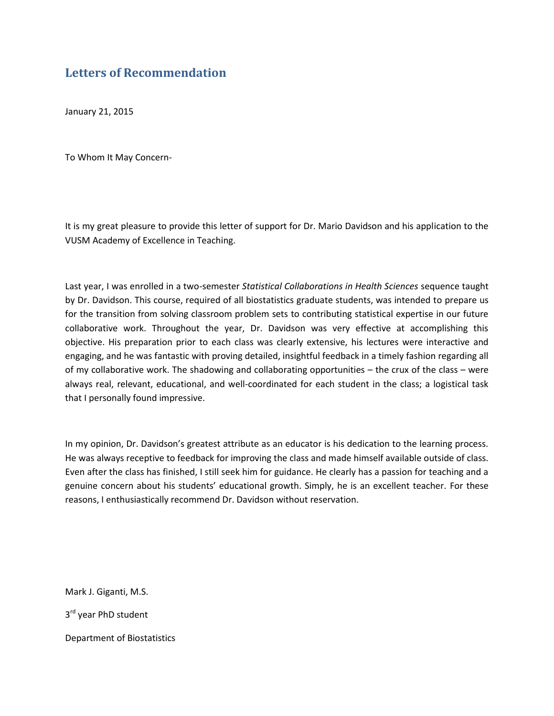## <span id="page-14-0"></span>**Letters of Recommendation**

January 21, 2015

To Whom It May Concern-

It is my great pleasure to provide this letter of support for Dr. Mario Davidson and his application to the VUSM Academy of Excellence in Teaching.

Last year, I was enrolled in a two-semester *Statistical Collaborations in Health Sciences* sequence taught by Dr. Davidson. This course, required of all biostatistics graduate students, was intended to prepare us for the transition from solving classroom problem sets to contributing statistical expertise in our future collaborative work. Throughout the year, Dr. Davidson was very effective at accomplishing this objective. His preparation prior to each class was clearly extensive, his lectures were interactive and engaging, and he was fantastic with proving detailed, insightful feedback in a timely fashion regarding all of my collaborative work. The shadowing and collaborating opportunities – the crux of the class – were always real, relevant, educational, and well-coordinated for each student in the class; a logistical task that I personally found impressive.

In my opinion, Dr. Davidson's greatest attribute as an educator is his dedication to the learning process. He was always receptive to feedback for improving the class and made himself available outside of class. Even after the class has finished, I still seek him for guidance. He clearly has a passion for teaching and a genuine concern about his students' educational growth. Simply, he is an excellent teacher. For these reasons, I enthusiastically recommend Dr. Davidson without reservation.

Mark J. Giganti, M.S. 3<sup>rd</sup> year PhD student Department of Biostatistics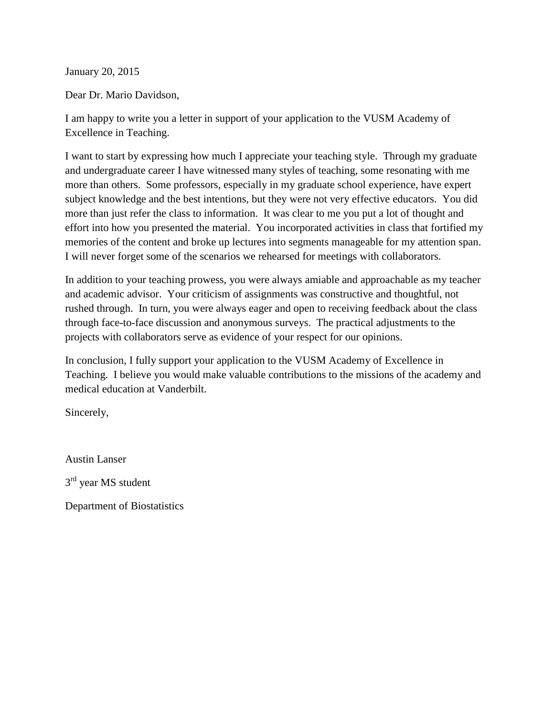January 20, 2015

Dear Dr. Mario Davidson,

I am happy to write you a letter in support of your application to the VUSM Academy of Excellence in Teaching.

I want to start by expressing how much I appreciate your teaching style. Through my graduate and undergraduate career I have witnessed many styles of teaching, some resonating with me more than others. Some professors, especially in my graduate school experience, have expert subject knowledge and the best intentions, but they were not very effective educators. You did more than just refer the class to information. It was clear to me you put a lot of thought and effort into how you presented the material. You incorporated activities in class that fortified my memories of the content and broke up lectures into segments manageable for my attention span. I will never forget some of the scenarios we rehearsed for meetings with collaborators.

In addition to your teaching prowess, you were always amiable and approachable as my teacher and academic advisor. Your criticism of assignments was constructive and thoughtful, not rushed through. In turn, you were always eager and open to receiving feedback about the class through face-to-face discussion and anonymous surveys. The practical adjustments to the projects with collaborators serve as evidence of your respect for our opinions.

In conclusion, I fully support your application to the VUSM Academy of Excellence in Teaching. I believe you would make valuable contributions to the missions of the academy and medical education at Vanderbilt.

Sincerely,

Austin Lanser 3<sup>rd</sup> year MS student

Department of Biostatistics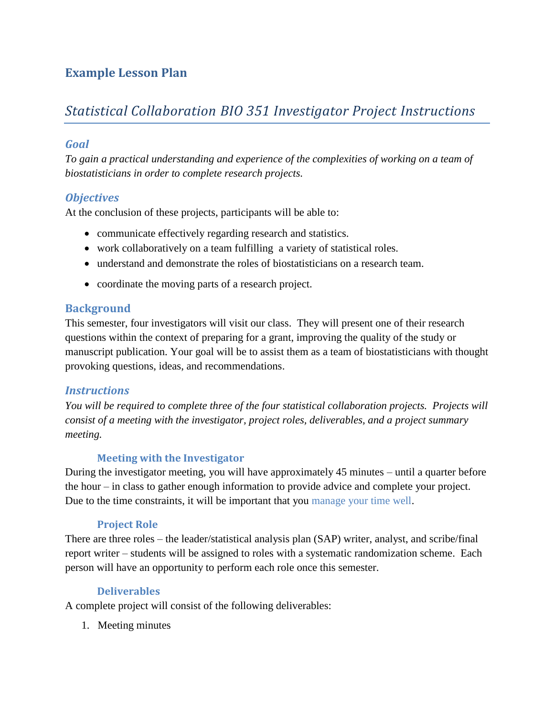# <span id="page-16-0"></span>**Example Lesson Plan**

# *Statistical Collaboration BIO 351 Investigator Project Instructions*

## <span id="page-16-1"></span>*Goal*

*To gain a practical understanding and experience of the complexities of working on a team of biostatisticians in order to complete research projects.*

## <span id="page-16-2"></span>*Objectives*

At the conclusion of these projects, participants will be able to:

- communicate effectively regarding research and statistics.
- work collaboratively on a team fulfilling a variety of statistical roles.
- understand and demonstrate the roles of biostatisticians on a research team.
- coordinate the moving parts of a research project.

## <span id="page-16-3"></span>**Background**

This semester, four investigators will visit our class. They will present one of their research questions within the context of preparing for a grant, improving the quality of the study or manuscript publication. Your goal will be to assist them as a team of biostatisticians with thought provoking questions, ideas, and recommendations.

#### <span id="page-16-4"></span>*Instructions*

*You will be required to complete three of the four statistical collaboration projects. Projects will consist of a meeting with the investigator, project roles, deliverables, and a project summary meeting.*

## <span id="page-16-5"></span>**Meeting with the Investigator**

During the investigator meeting, you will have approximately 45 minutes – until a quarter before the hour – in class to gather enough information to provide advice and complete your project. Due to the time constraints, it will be important that you manage your time well.

#### <span id="page-16-6"></span>**Project Role**

There are three roles – the leader/statistical analysis plan (SAP) writer, analyst, and scribe/final report writer – students will be assigned to roles with a systematic randomization scheme. Each person will have an opportunity to perform each role once this semester.

## <span id="page-16-7"></span>**Deliverables**

A complete project will consist of the following deliverables:

1. Meeting minutes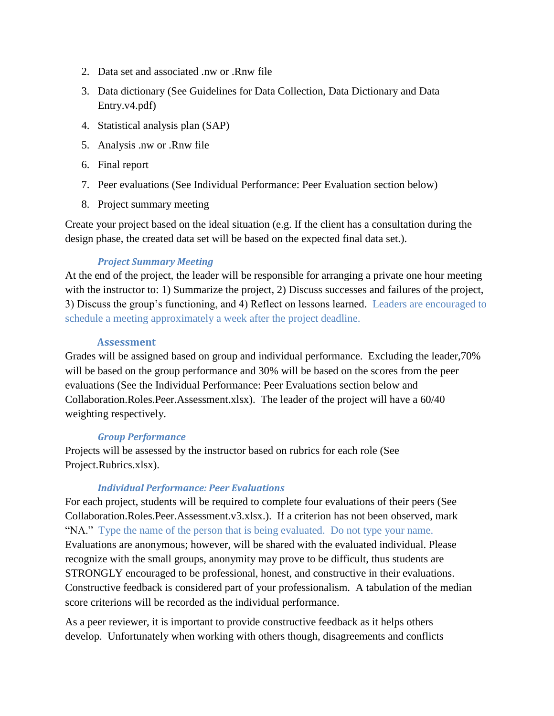- 2. Data set and associated .nw or .Rnw file
- 3. Data dictionary (See Guidelines for Data Collection, Data Dictionary and Data Entry.v4.pdf)
- 4. Statistical analysis plan (SAP)
- 5. Analysis .nw or .Rnw file
- 6. Final report
- 7. Peer evaluations (See Individual Performance: Peer Evaluation section below)
- 8. Project summary meeting

Create your project based on the ideal situation (e.g. If the client has a consultation during the design phase, the created data set will be based on the expected final data set.).

#### *Project Summary Meeting*

At the end of the project, the leader will be responsible for arranging a private one hour meeting with the instructor to: 1) Summarize the project, 2) Discuss successes and failures of the project, 3) Discuss the group's functioning, and 4) Reflect on lessons learned. Leaders are encouraged to schedule a meeting approximately a week after the project deadline.

#### <span id="page-17-0"></span>**Assessment**

Grades will be assigned based on group and individual performance. Excluding the leader,70% will be based on the group performance and 30% will be based on the scores from the peer evaluations (See the Individual Performance: Peer Evaluations section below and Collaboration.Roles.Peer.Assessment.xlsx). The leader of the project will have a 60/40 weighting respectively.

#### *Group Performance*

Projects will be assessed by the instructor based on rubrics for each role (See Project.Rubrics.xlsx).

#### *Individual Performance: Peer Evaluations*

For each project, students will be required to complete four evaluations of their peers (See Collaboration.Roles.Peer.Assessment.v3.xlsx.). If a criterion has not been observed, mark "NA." Type the name of the person that is being evaluated. Do not type your name. Evaluations are anonymous; however, will be shared with the evaluated individual. Please recognize with the small groups, anonymity may prove to be difficult, thus students are STRONGLY encouraged to be professional, honest, and constructive in their evaluations. Constructive feedback is considered part of your professionalism. A tabulation of the median score criterions will be recorded as the individual performance.

As a peer reviewer, it is important to provide constructive feedback as it helps others develop. Unfortunately when working with others though, disagreements and conflicts